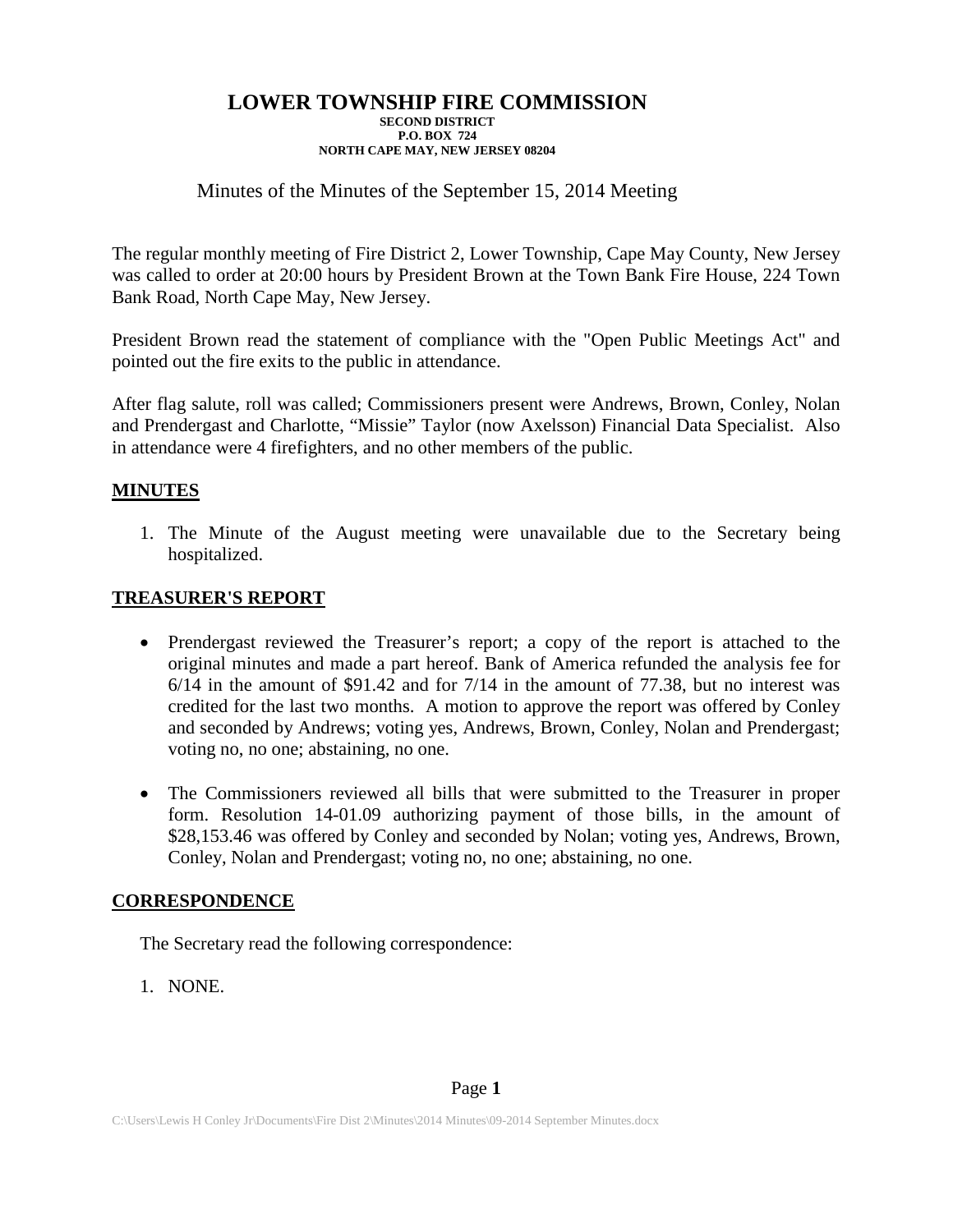## Minutes of the Minutes of the September 15, 2014 Meeting

The regular monthly meeting of Fire District 2, Lower Township, Cape May County, New Jersey was called to order at 20:00 hours by President Brown at the Town Bank Fire House, 224 Town Bank Road, North Cape May, New Jersey.

President Brown read the statement of compliance with the "Open Public Meetings Act" and pointed out the fire exits to the public in attendance.

After flag salute, roll was called; Commissioners present were Andrews, Brown, Conley, Nolan and Prendergast and Charlotte, "Missie" Taylor (now Axelsson) Financial Data Specialist. Also in attendance were 4 firefighters, and no other members of the public.

### **MINUTES**

1. The Minute of the August meeting were unavailable due to the Secretary being hospitalized.

### **TREASURER'S REPORT**

- Prendergast reviewed the Treasurer's report; a copy of the report is attached to the original minutes and made a part hereof. Bank of America refunded the analysis fee for 6/14 in the amount of \$91.42 and for 7/14 in the amount of 77.38, but no interest was credited for the last two months. A motion to approve the report was offered by Conley and seconded by Andrews; voting yes, Andrews, Brown, Conley, Nolan and Prendergast; voting no, no one; abstaining, no one.
- The Commissioners reviewed all bills that were submitted to the Treasurer in proper form. Resolution 14-01.09 authorizing payment of those bills, in the amount of \$28,153.46 was offered by Conley and seconded by Nolan; voting yes, Andrews, Brown, Conley, Nolan and Prendergast; voting no, no one; abstaining, no one.

### **CORRESPONDENCE**

The Secretary read the following correspondence:

1. NONE.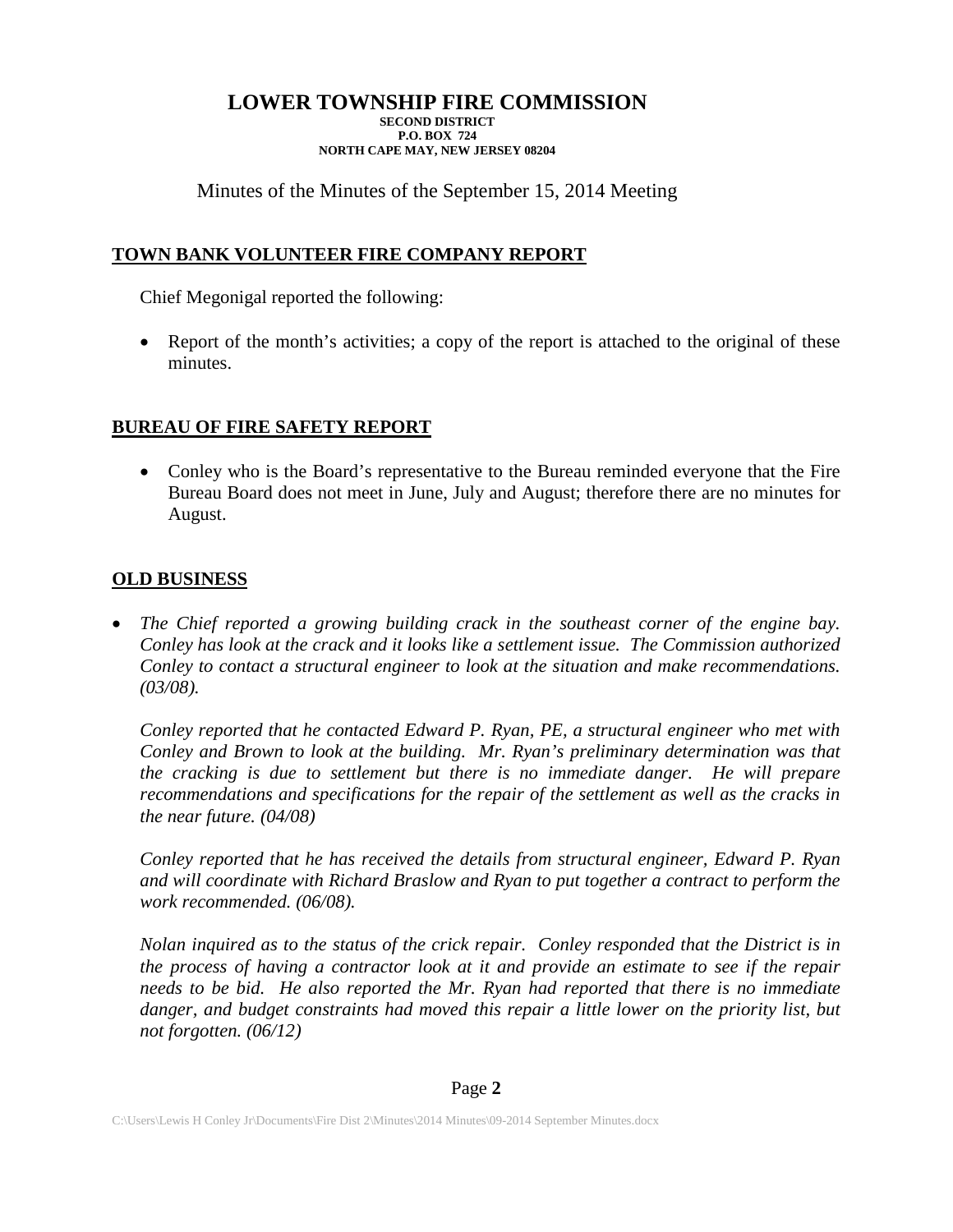Minutes of the Minutes of the September 15, 2014 Meeting

# **TOWN BANK VOLUNTEER FIRE COMPANY REPORT**

Chief Megonigal reported the following:

• Report of the month's activities; a copy of the report is attached to the original of these minutes.

# **BUREAU OF FIRE SAFETY REPORT**

• Conley who is the Board's representative to the Bureau reminded everyone that the Fire Bureau Board does not meet in June, July and August; therefore there are no minutes for August.

# **OLD BUSINESS**

• *The Chief reported a growing building crack in the southeast corner of the engine bay. Conley has look at the crack and it looks like a settlement issue. The Commission authorized Conley to contact a structural engineer to look at the situation and make recommendations. (03/08).*

*Conley reported that he contacted Edward P. Ryan, PE, a structural engineer who met with Conley and Brown to look at the building. Mr. Ryan's preliminary determination was that the cracking is due to settlement but there is no immediate danger. He will prepare recommendations and specifications for the repair of the settlement as well as the cracks in the near future. (04/08)*

*Conley reported that he has received the details from structural engineer, Edward P. Ryan and will coordinate with Richard Braslow and Ryan to put together a contract to perform the work recommended. (06/08).*

*Nolan inquired as to the status of the crick repair. Conley responded that the District is in the process of having a contractor look at it and provide an estimate to see if the repair needs to be bid. He also reported the Mr. Ryan had reported that there is no immediate*  danger, and budget constraints had moved this repair a little lower on the priority list, but *not forgotten. (06/12)*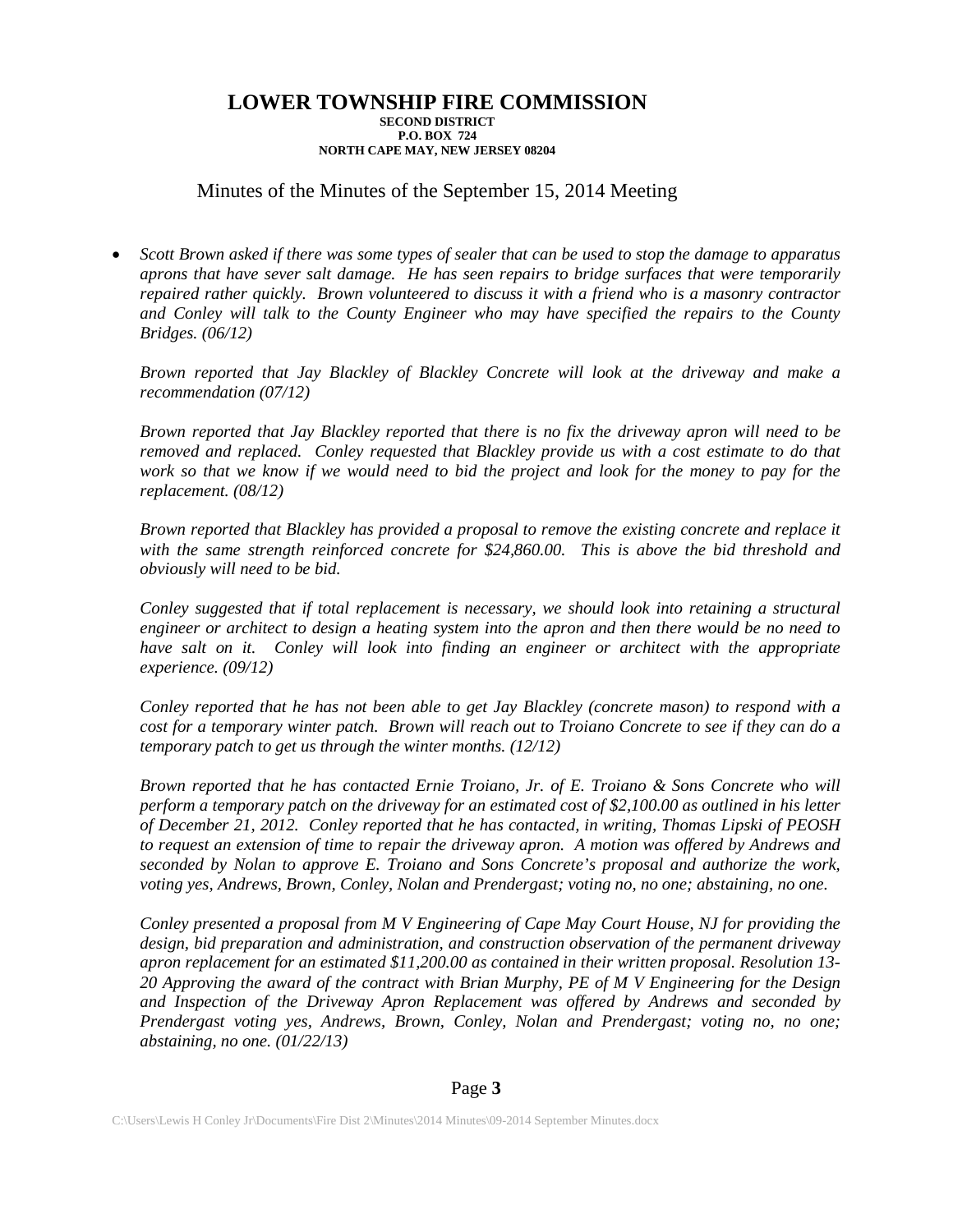### Minutes of the Minutes of the September 15, 2014 Meeting

• *Scott Brown asked if there was some types of sealer that can be used to stop the damage to apparatus aprons that have sever salt damage. He has seen repairs to bridge surfaces that were temporarily repaired rather quickly. Brown volunteered to discuss it with a friend who is a masonry contractor and Conley will talk to the County Engineer who may have specified the repairs to the County Bridges. (06/12)*

*Brown reported that Jay Blackley of Blackley Concrete will look at the driveway and make a recommendation (07/12)*

*Brown reported that Jay Blackley reported that there is no fix the driveway apron will need to be removed and replaced. Conley requested that Blackley provide us with a cost estimate to do that work so that we know if we would need to bid the project and look for the money to pay for the replacement. (08/12)*

*Brown reported that Blackley has provided a proposal to remove the existing concrete and replace it with the same strength reinforced concrete for \$24,860.00. This is above the bid threshold and obviously will need to be bid.*

*Conley suggested that if total replacement is necessary, we should look into retaining a structural engineer or architect to design a heating system into the apron and then there would be no need to have salt on it. Conley will look into finding an engineer or architect with the appropriate experience. (09/12)*

*Conley reported that he has not been able to get Jay Blackley (concrete mason) to respond with a cost for a temporary winter patch. Brown will reach out to Troiano Concrete to see if they can do a temporary patch to get us through the winter months. (12/12)*

*Brown reported that he has contacted Ernie Troiano, Jr. of E. Troiano & Sons Concrete who will perform a temporary patch on the driveway for an estimated cost of \$2,100.00 as outlined in his letter of December 21, 2012. Conley reported that he has contacted, in writing, Thomas Lipski of PEOSH to request an extension of time to repair the driveway apron. A motion was offered by Andrews and seconded by Nolan to approve E. Troiano and Sons Concrete's proposal and authorize the work, voting yes, Andrews, Brown, Conley, Nolan and Prendergast; voting no, no one; abstaining, no one.*

*Conley presented a proposal from M V Engineering of Cape May Court House, NJ for providing the design, bid preparation and administration, and construction observation of the permanent driveway apron replacement for an estimated \$11,200.00 as contained in their written proposal. Resolution 13- 20 Approving the award of the contract with Brian Murphy, PE of M V Engineering for the Design and Inspection of the Driveway Apron Replacement was offered by Andrews and seconded by Prendergast voting yes, Andrews, Brown, Conley, Nolan and Prendergast; voting no, no one; abstaining, no one. (01/22/13)*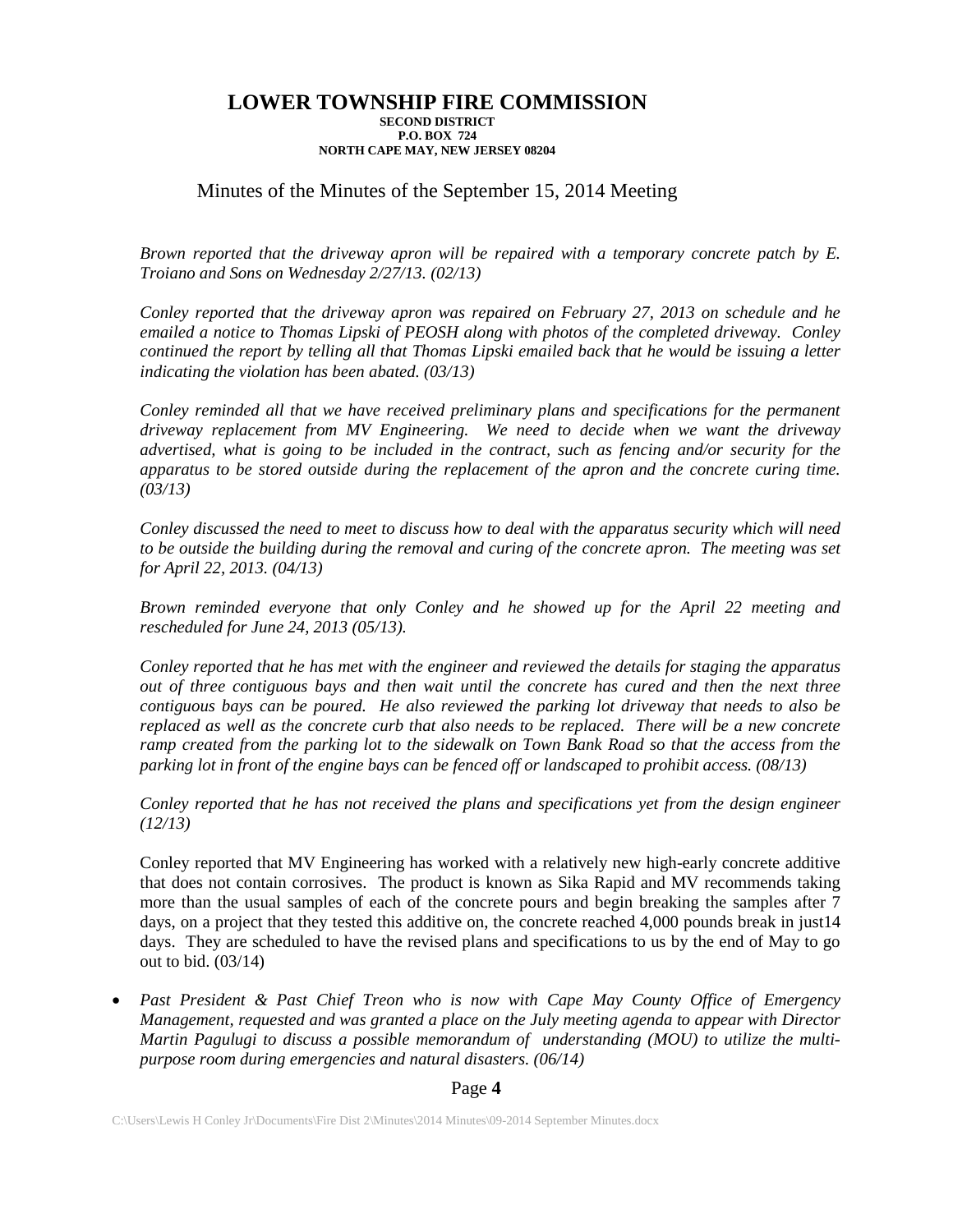## Minutes of the Minutes of the September 15, 2014 Meeting

*Brown reported that the driveway apron will be repaired with a temporary concrete patch by E. Troiano and Sons on Wednesday 2/27/13. (02/13)*

*Conley reported that the driveway apron was repaired on February 27, 2013 on schedule and he emailed a notice to Thomas Lipski of PEOSH along with photos of the completed driveway. Conley continued the report by telling all that Thomas Lipski emailed back that he would be issuing a letter indicating the violation has been abated. (03/13)*

*Conley reminded all that we have received preliminary plans and specifications for the permanent driveway replacement from MV Engineering. We need to decide when we want the driveway advertised, what is going to be included in the contract, such as fencing and/or security for the apparatus to be stored outside during the replacement of the apron and the concrete curing time. (03/13)*

*Conley discussed the need to meet to discuss how to deal with the apparatus security which will need to be outside the building during the removal and curing of the concrete apron. The meeting was set for April 22, 2013. (04/13)*

*Brown reminded everyone that only Conley and he showed up for the April 22 meeting and rescheduled for June 24, 2013 (05/13).*

*Conley reported that he has met with the engineer and reviewed the details for staging the apparatus out of three contiguous bays and then wait until the concrete has cured and then the next three contiguous bays can be poured. He also reviewed the parking lot driveway that needs to also be replaced as well as the concrete curb that also needs to be replaced. There will be a new concrete ramp created from the parking lot to the sidewalk on Town Bank Road so that the access from the parking lot in front of the engine bays can be fenced off or landscaped to prohibit access. (08/13)* 

*Conley reported that he has not received the plans and specifications yet from the design engineer (12/13)*

Conley reported that MV Engineering has worked with a relatively new high-early concrete additive that does not contain corrosives. The product is known as Sika Rapid and MV recommends taking more than the usual samples of each of the concrete pours and begin breaking the samples after 7 days, on a project that they tested this additive on, the concrete reached 4,000 pounds break in just14 days. They are scheduled to have the revised plans and specifications to us by the end of May to go out to bid. (03/14)

• *Past President & Past Chief Treon who is now with Cape May County Office of Emergency Management, requested and was granted a place on the July meeting agenda to appear with Director Martin Pagulugi to discuss a possible memorandum of understanding (MOU) to utilize the multipurpose room during emergencies and natural disasters. (06/14)*

### Page **4**

C:\Users\Lewis H Conley Jr\Documents\Fire Dist 2\Minutes\2014 Minutes\09-2014 September Minutes.docx